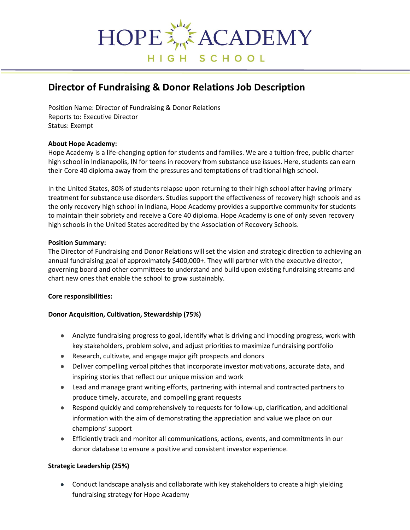

# **Director of Fundraising & Donor Relations Job Description**

Position Name: Director of Fundraising & Donor Relations Reports to: Executive Director Status: Exempt

#### **About Hope Academy:**

Hope Academy is a life-changing option for students and families. We are a tuition-free, public charter high school in Indianapolis, IN for teens in recovery from substance use issues. Here, students can earn their Core 40 diploma away from the pressures and temptations of traditional high school.

In the United States, 80% of students relapse upon returning to their high school after having primary treatment for substance use disorders. Studies support the effectiveness of recovery high schools and as the only recovery high school in Indiana, Hope Academy provides a supportive community for students to maintain their sobriety and receive a Core 40 diploma. Hope Academy is [one of only seven recovery](https://recoveryschools.org/accreditation/)  [high schools in the United States accredited by the Association of Recovery](https://recoveryschools.org/accreditation/) Schools.

#### **Position Summary:**

The Director of Fundraising and Donor Relations will set the vision and strategic direction to achieving an annual fundraising goal of approximately \$400,000+. They will partner with the executive director, governing board and other committees to understand and build upon existing fundraising streams and chart new ones that enable the school to grow sustainably.

#### **Core responsibilities:**

#### **Donor Acquisition, Cultivation, Stewardship (75%)**

- Analyze fundraising progress to goal, identify what is driving and impeding progress, work with key stakeholders, problem solve, and adjust priorities to maximize fundraising portfolio
- Research, cultivate, and engage major gift prospects and donors
- Deliver compelling verbal pitches that incorporate investor motivations, accurate data, and inspiring stories that reflect our unique mission and work
- Lead and manage grant writing efforts, partnering with internal and contracted partners to produce timely, accurate, and compelling grant requests
- Respond quickly and comprehensively to requests for follow-up, clarification, and additional information with the aim of demonstrating the appreciation and value we place on our champions' support
- Efficiently track and monitor all communications, actions, events, and commitments in our donor database to ensure a positive and consistent investor experience.

#### **Strategic Leadership (25%)**

● Conduct landscape analysis and collaborate with key stakeholders to create a high yielding fundraising strategy for Hope Academy